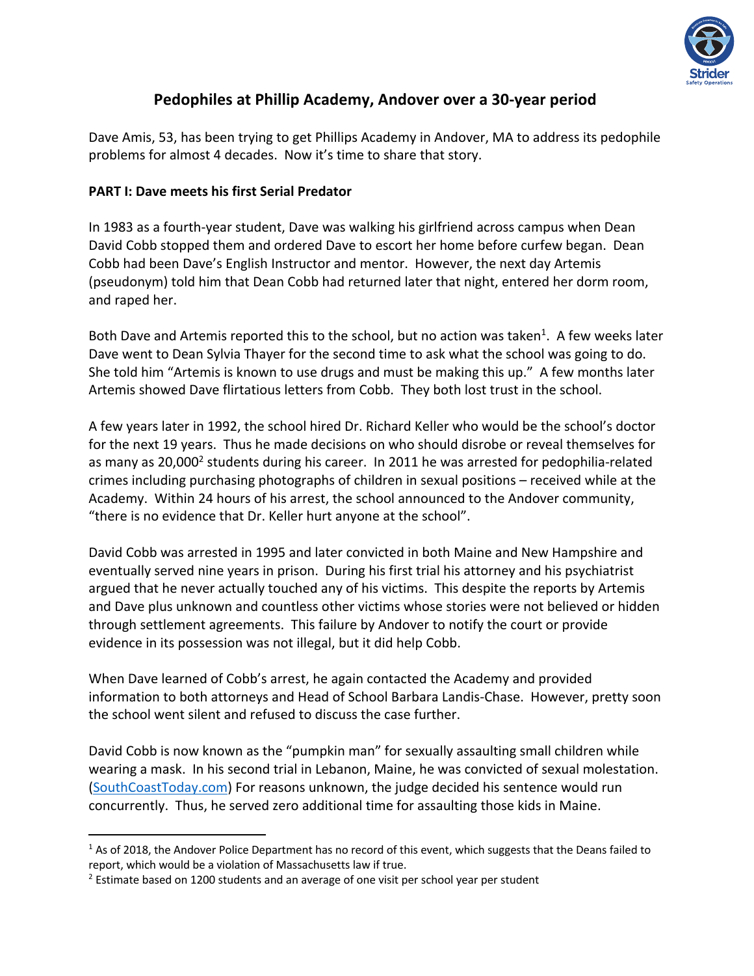

## **Pedophiles at Phillip Academy, Andover over a 30-year period**

Dave Amis, 53, has been trying to get Phillips Academy in Andover, MA to address its pedophile problems for almost 4 decades. Now it's time to share that story.

## **PART I: Dave meets his first Serial Predator**

In 1983 as a fourth-year student, Dave was walking his girlfriend across campus when Dean David Cobb stopped them and ordered Dave to escort her home before curfew began. Dean Cobb had been Dave's English Instructor and mentor. However, the next day Artemis (pseudonym) told him that Dean Cobb had returned later that night, entered her dorm room, and raped her.

Both Dave and Artemis reported this to the school, but no action was taken<sup>1</sup>. A few weeks later Dave went to Dean Sylvia Thayer for the second time to ask what the school was going to do. She told him "Artemis is known to use drugs and must be making this up." A few months later Artemis showed Dave flirtatious letters from Cobb. They both lost trust in the school.

A few years later in 1992, the school hired Dr. Richard Keller who would be the school's doctor for the next 19 years. Thus he made decisions on who should disrobe or reveal themselves for as many as 20,000<sup>2</sup> students during his career. In 2011 he was arrested for pedophilia-related crimes including purchasing photographs of children in sexual positions – received while at the Academy. Within 24 hours of his arrest, the school announced to the Andover community, "there is no evidence that Dr. Keller hurt anyone at the school".

David Cobb was arrested in 1995 and later convicted in both Maine and New Hampshire and eventually served nine years in prison. During his first trial his attorney and his psychiatrist argued that he never actually touched any of his victims. This despite the reports by Artemis and Dave plus unknown and countless other victims whose stories were not believed or hidden through settlement agreements. This failure by Andover to notify the court or provide evidence in its possession was not illegal, but it did help Cobb.

When Dave learned of Cobb's arrest, he again contacted the Academy and provided information to both attorneys and Head of School Barbara Landis-Chase. However, pretty soon the school went silent and refused to discuss the case further.

David Cobb is now known as the "pumpkin man" for sexually assaulting small children while wearing a mask. In his second trial in Lebanon, Maine, he was convicted of sexual molestation. (SouthCoastToday.com) For reasons unknown, the judge decided his sentence would run concurrently. Thus, he served zero additional time for assaulting those kids in Maine.

 $1$  As of 2018, the Andover Police Department has no record of this event, which suggests that the Deans failed to report, which would be a violation of Massachusetts law if true.

 $2$  Estimate based on 1200 students and an average of one visit per school year per student